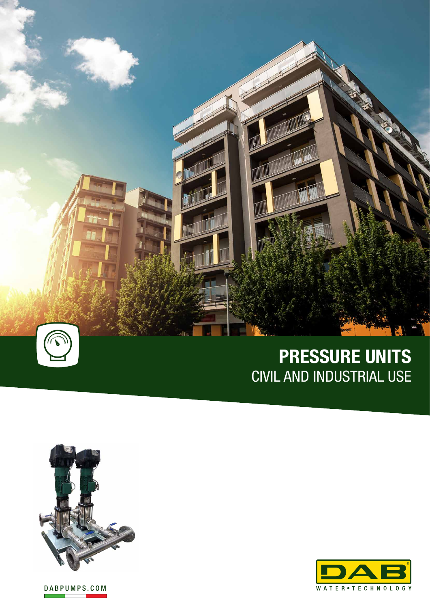

# **PRESSURE UNITS** CIVIL AND INDUSTRIAL USE



DABPUMPS.COM

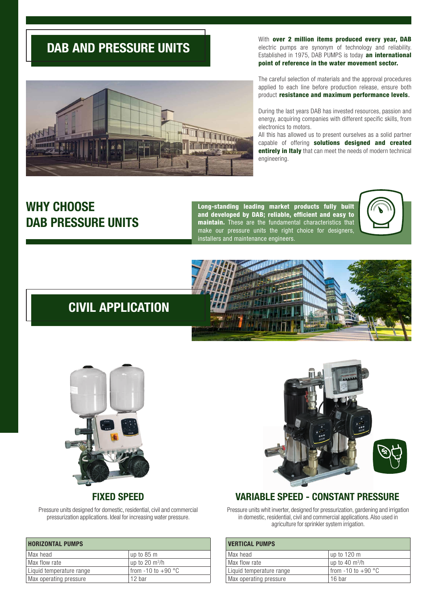## **DAB AND PRESSURE UNITS**

With over 2 million items produced every year, DAB electric pumps are synonym of technology and reliability. Established in 1975, DAB PUMPS is today an international point of reference in the water movement sector.

The careful selection of materials and the approval procedures applied to each line before production release, ensure both product resistance and maximum performance levels.

During the last years DAB has invested resources, passion and energy, acquiring companies with different specific skills, from electronics to motors.

All this has allowed us to present ourselves as a solid partner capable of offering solutions designed and created entirely in Italy that can meet the needs of modern technical engineering.

## **WHY CHOOSE DAB PRESSURE UNITS**

Long-standing leading market products fully built and developed by DAB; reliable, efficient and easy to maintain. These are the fundamental characteristics that make our pressure units the right choice for designers, installers and maintenance engineers.



## **CIVIL APPLICATION**





Pressure units designed for domestic, residential, civil and commercial pressurization applications. Ideal for increasing water pressure.

| <b>HORIZONTAL PUMPS</b>  |                            |
|--------------------------|----------------------------|
| Max head                 | up to 85 m                 |
| Max flow rate            | up to 20 $\mathrm{m}^3$ /h |
| Liquid temperature range | I from $-10$ to $+90$ °C   |
| Max operating pressure   | 12 bar                     |



Pressure units whit inverter, designed for pressurization, gardening and irrigation in domestic, residential, civil and commercial applications. Also used in agriculture for sprinkler system irrigation.

| <b>VERTICAL PUMPS</b>    |                                |
|--------------------------|--------------------------------|
| I Max head               | up to 120 m                    |
| Max flow rate            | $\vert$ up to 40 m $^{3}/$ h   |
| Liquid temperature range | I from -10 to +90 $^{\circ}$ C |
| Max operating pressure   | 16 bar                         |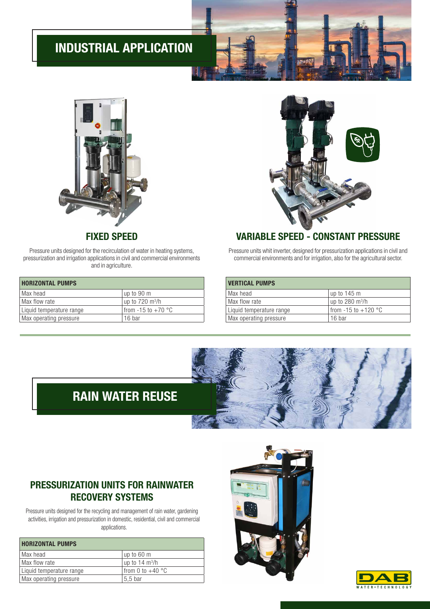# **INDUSTRIAL APPLICATION**



Pressure units designed for the recirculation of water in heating systems, pressurization and irrigation applications in civil and commercial environments and in agriculture.

| <b>HORIZONTAL PUMPS</b>  |                           |
|--------------------------|---------------------------|
| Max head                 | up to 90 m                |
| Max flow rate            | up to $720 \text{ m}^3/h$ |
| Liquid temperature range | from -15 to $+70$ °C      |
| Max operating pressure   | 16 bar                    |

### **FIXED SPEED VARIABLE SPEED - CONSTANT PRESSURE**

 $\mathcal{S}_2$ 

Pressure units whit inverter, designed for pressurization applications in civil and commercial environments and for irrigation, also for the agricultural sector.

| <b>VERTICAL PUMPS</b>    |                           |  |
|--------------------------|---------------------------|--|
| l Max head               | up to 145 m               |  |
| Max flow rate            | up to 280 $m^3/h$         |  |
| Liquid temperature range | I from $-15$ to $+120$ °C |  |
| Max operating pressure   | 16 bar                    |  |

# **RAIN WATER REUSE**

### **PRESSURIZATION UNITS FOR RAINWATER RECOVERY SYSTEMS**

Pressure units designed for the recycling and management of rain water, gardening activities, irrigation and pressurization in domestic, residential, civil and commercial applications.

| <b>HORIZONTAL PUMPS</b>  |                          |
|--------------------------|--------------------------|
| Max head                 | up to 60 m               |
| Max flow rate            | up to $14 \text{ m}^3/h$ |
| Liquid temperature range | from 0 to $+40$ °C       |
| Max operating pressure   | 5.5 bar                  |